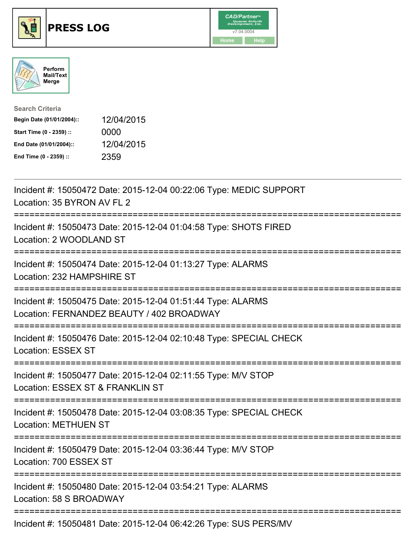





| <b>Search Criteria</b>    |            |
|---------------------------|------------|
| Begin Date (01/01/2004):: | 12/04/2015 |
| Start Time (0 - 2359) ::  | 0000       |
| End Date (01/01/2004)::   | 12/04/2015 |
| End Time (0 - 2359) ::    | 2359       |

| Incident #: 15050472 Date: 2015-12-04 00:22:06 Type: MEDIC SUPPORT<br>Location: 35 BYRON AV FL 2                               |
|--------------------------------------------------------------------------------------------------------------------------------|
| Incident #: 15050473 Date: 2015-12-04 01:04:58 Type: SHOTS FIRED<br>Location: 2 WOODLAND ST<br>-----------                     |
| Incident #: 15050474 Date: 2015-12-04 01:13:27 Type: ALARMS<br>Location: 232 HAMPSHIRE ST<br>===========                       |
| Incident #: 15050475 Date: 2015-12-04 01:51:44 Type: ALARMS<br>Location: FERNANDEZ BEAUTY / 402 BROADWAY                       |
| Incident #: 15050476 Date: 2015-12-04 02:10:48 Type: SPECIAL CHECK<br>Location: ESSEX ST<br>:================================= |
| Incident #: 15050477 Date: 2015-12-04 02:11:55 Type: M/V STOP<br>Location: ESSEX ST & FRANKLIN ST                              |
| Incident #: 15050478 Date: 2015-12-04 03:08:35 Type: SPECIAL CHECK<br><b>Location: METHUEN ST</b>                              |
| Incident #: 15050479 Date: 2015-12-04 03:36:44 Type: M/V STOP<br>Location: 700 ESSEX ST                                        |
| Incident #: 15050480 Date: 2015-12-04 03:54:21 Type: ALARMS<br>Location: 58 S BROADWAY                                         |
| Incident #: 15050481 Date: 2015-12-04 06:42:26 Type: SUS PERS/MV                                                               |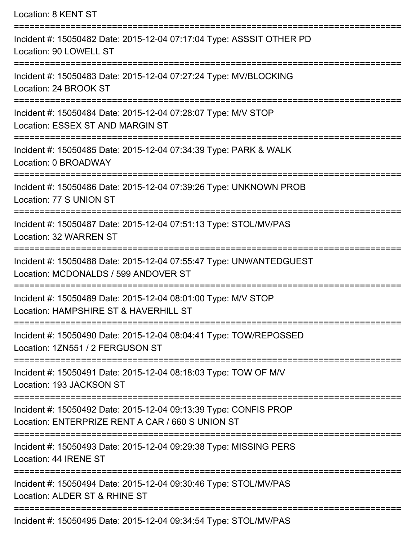| Location: 8 KENT ST                                                                                                  |
|----------------------------------------------------------------------------------------------------------------------|
| Incident #: 15050482 Date: 2015-12-04 07:17:04 Type: ASSSIT OTHER PD<br>Location: 90 LOWELL ST                       |
| Incident #: 15050483 Date: 2015-12-04 07:27:24 Type: MV/BLOCKING<br>Location: 24 BROOK ST                            |
| Incident #: 15050484 Date: 2015-12-04 07:28:07 Type: M/V STOP<br>Location: ESSEX ST AND MARGIN ST                    |
| =====================<br>Incident #: 15050485 Date: 2015-12-04 07:34:39 Type: PARK & WALK<br>Location: 0 BROADWAY    |
| Incident #: 15050486 Date: 2015-12-04 07:39:26 Type: UNKNOWN PROB<br>Location: 77 S UNION ST                         |
| Incident #: 15050487 Date: 2015-12-04 07:51:13 Type: STOL/MV/PAS<br>Location: 32 WARREN ST                           |
| Incident #: 15050488 Date: 2015-12-04 07:55:47 Type: UNWANTEDGUEST<br>Location: MCDONALDS / 599 ANDOVER ST           |
| Incident #: 15050489 Date: 2015-12-04 08:01:00 Type: M/V STOP<br>Location: HAMPSHIRE ST & HAVERHILL ST               |
| Incident #: 15050490 Date: 2015-12-04 08:04:41 Type: TOW/REPOSSED<br>Location: 1ZN551 / 2 FERGUSON ST                |
| Incident #: 15050491 Date: 2015-12-04 08:18:03 Type: TOW OF M/V<br>Location: 193 JACKSON ST                          |
| Incident #: 15050492 Date: 2015-12-04 09:13:39 Type: CONFIS PROP<br>Location: ENTERPRIZE RENT A CAR / 660 S UNION ST |
| Incident #: 15050493 Date: 2015-12-04 09:29:38 Type: MISSING PERS<br>Location: 44 IRENE ST                           |
| Incident #: 15050494 Date: 2015-12-04 09:30:46 Type: STOL/MV/PAS<br>Location: ALDER ST & RHINE ST                    |
| Incident #: 15050495 Date: 2015-12-04 09:34:54 Type: STOL/MV/PAS                                                     |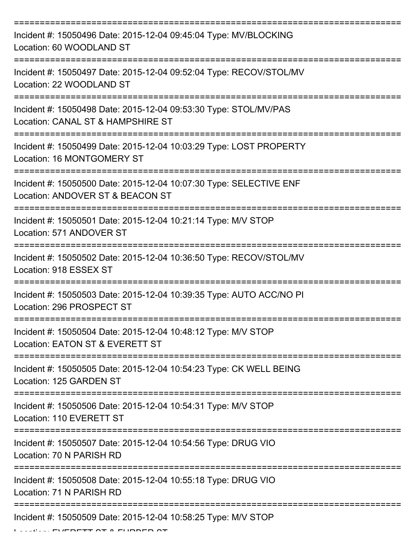| Incident #: 15050496 Date: 2015-12-04 09:45:04 Type: MV/BLOCKING<br>Location: 60 WOODLAND ST           |
|--------------------------------------------------------------------------------------------------------|
| Incident #: 15050497 Date: 2015-12-04 09:52:04 Type: RECOV/STOL/MV<br>Location: 22 WOODLAND ST         |
| Incident #: 15050498 Date: 2015-12-04 09:53:30 Type: STOL/MV/PAS<br>Location: CANAL ST & HAMPSHIRE ST  |
| Incident #: 15050499 Date: 2015-12-04 10:03:29 Type: LOST PROPERTY<br>Location: 16 MONTGOMERY ST       |
| Incident #: 15050500 Date: 2015-12-04 10:07:30 Type: SELECTIVE ENF<br>Location: ANDOVER ST & BEACON ST |
| Incident #: 15050501 Date: 2015-12-04 10:21:14 Type: M/V STOP<br>Location: 571 ANDOVER ST              |
| Incident #: 15050502 Date: 2015-12-04 10:36:50 Type: RECOV/STOL/MV<br>Location: 918 ESSEX ST           |
| Incident #: 15050503 Date: 2015-12-04 10:39:35 Type: AUTO ACC/NO PI<br>Location: 296 PROSPECT ST       |
| Incident #: 15050504 Date: 2015-12-04 10:48:12 Type: M/V STOP<br>Location: EATON ST & EVERETT ST       |
| Incident #: 15050505 Date: 2015-12-04 10:54:23 Type: CK WELL BEING<br>Location: 125 GARDEN ST          |
| Incident #: 15050506 Date: 2015-12-04 10:54:31 Type: M/V STOP<br>Location: 110 EVERETT ST              |
| Incident #: 15050507 Date: 2015-12-04 10:54:56 Type: DRUG VIO<br>Location: 70 N PARISH RD              |
| Incident #: 15050508 Date: 2015-12-04 10:55:18 Type: DRUG VIO<br>Location: 71 N PARISH RD              |
| Incident #: 15050509 Date: 2015-12-04 10:58:25 Type: M/V STOP                                          |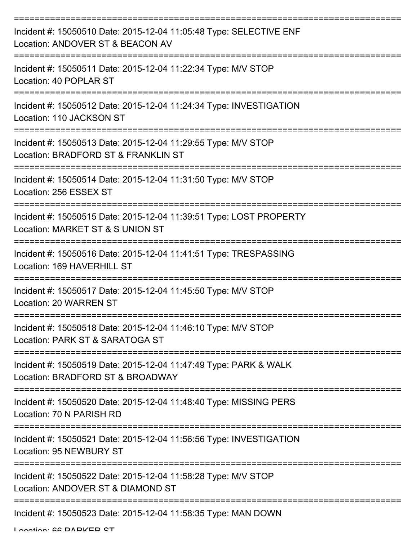| Incident #: 15050510 Date: 2015-12-04 11:05:48 Type: SELECTIVE ENF<br>Location: ANDOVER ST & BEACON AV |
|--------------------------------------------------------------------------------------------------------|
| Incident #: 15050511 Date: 2015-12-04 11:22:34 Type: M/V STOP<br>Location: 40 POPLAR ST                |
| Incident #: 15050512 Date: 2015-12-04 11:24:34 Type: INVESTIGATION<br>Location: 110 JACKSON ST         |
| Incident #: 15050513 Date: 2015-12-04 11:29:55 Type: M/V STOP<br>Location: BRADFORD ST & FRANKLIN ST   |
| Incident #: 15050514 Date: 2015-12-04 11:31:50 Type: M/V STOP<br>Location: 256 ESSEX ST                |
| Incident #: 15050515 Date: 2015-12-04 11:39:51 Type: LOST PROPERTY<br>Location: MARKET ST & S UNION ST |
| Incident #: 15050516 Date: 2015-12-04 11:41:51 Type: TRESPASSING<br>Location: 169 HAVERHILL ST         |
| ==========<br>Incident #: 15050517 Date: 2015-12-04 11:45:50 Type: M/V STOP<br>Location: 20 WARREN ST  |
| Incident #: 15050518 Date: 2015-12-04 11:46:10 Type: M/V STOP<br>Location: PARK ST & SARATOGA ST       |
| Incident #: 15050519 Date: 2015-12-04 11:47:49 Type: PARK & WALK<br>Location: BRADFORD ST & BROADWAY   |
| Incident #: 15050520 Date: 2015-12-04 11:48:40 Type: MISSING PERS<br>Location: 70 N PARISH RD          |
| Incident #: 15050521 Date: 2015-12-04 11:56:56 Type: INVESTIGATION<br><b>Location: 95 NEWBURY ST</b>   |
| Incident #: 15050522 Date: 2015-12-04 11:58:28 Type: M/V STOP<br>Location: ANDOVER ST & DIAMOND ST     |
| Incident #: 15050523 Date: 2015-12-04 11:58:35 Type: MAN DOWN                                          |

Location: 66 DADKED CT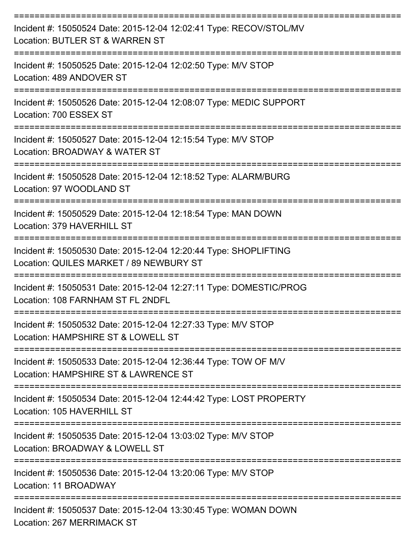| Incident #: 15050524 Date: 2015-12-04 12:02:41 Type: RECOV/STOL/MV<br>Location: BUTLER ST & WARREN ST       |
|-------------------------------------------------------------------------------------------------------------|
| Incident #: 15050525 Date: 2015-12-04 12:02:50 Type: M/V STOP<br>Location: 489 ANDOVER ST                   |
| Incident #: 15050526 Date: 2015-12-04 12:08:07 Type: MEDIC SUPPORT<br>Location: 700 ESSEX ST                |
| Incident #: 15050527 Date: 2015-12-04 12:15:54 Type: M/V STOP<br>Location: BROADWAY & WATER ST              |
| Incident #: 15050528 Date: 2015-12-04 12:18:52 Type: ALARM/BURG<br>Location: 97 WOODLAND ST                 |
| Incident #: 15050529 Date: 2015-12-04 12:18:54 Type: MAN DOWN<br>Location: 379 HAVERHILL ST                 |
| Incident #: 15050530 Date: 2015-12-04 12:20:44 Type: SHOPLIFTING<br>Location: QUILES MARKET / 89 NEWBURY ST |
| Incident #: 15050531 Date: 2015-12-04 12:27:11 Type: DOMESTIC/PROG<br>Location: 108 FARNHAM ST FL 2NDFL     |
| Incident #: 15050532 Date: 2015-12-04 12:27:33 Type: M/V STOP<br>Location: HAMPSHIRE ST & LOWELL ST         |
| Incident #: 15050533 Date: 2015-12-04 12:36:44 Type: TOW OF M/V<br>Location: HAMPSHIRE ST & LAWRENCE ST     |
| Incident #: 15050534 Date: 2015-12-04 12:44:42 Type: LOST PROPERTY<br>Location: 105 HAVERHILL ST            |
| Incident #: 15050535 Date: 2015-12-04 13:03:02 Type: M/V STOP<br>Location: BROADWAY & LOWELL ST             |
| Incident #: 15050536 Date: 2015-12-04 13:20:06 Type: M/V STOP<br>Location: 11 BROADWAY                      |
| Incident #: 15050537 Date: 2015-12-04 13:30:45 Type: WOMAN DOWN<br><b>Location: 267 MERRIMACK ST</b>        |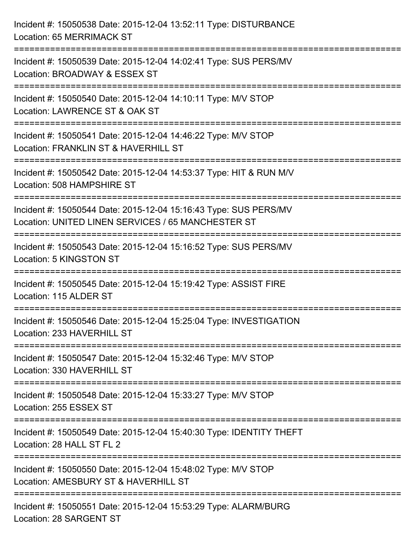| Incident #: 15050538 Date: 2015-12-04 13:52:11 Type: DISTURBANCE<br>Location: 65 MERRIMACK ST                                           |
|-----------------------------------------------------------------------------------------------------------------------------------------|
| ===========================<br>Incident #: 15050539 Date: 2015-12-04 14:02:41 Type: SUS PERS/MV<br>Location: BROADWAY & ESSEX ST        |
| Incident #: 15050540 Date: 2015-12-04 14:10:11 Type: M/V STOP<br>Location: LAWRENCE ST & OAK ST<br>=============================        |
| Incident #: 15050541 Date: 2015-12-04 14:46:22 Type: M/V STOP<br>Location: FRANKLIN ST & HAVERHILL ST<br>:==================            |
| Incident #: 15050542 Date: 2015-12-04 14:53:37 Type: HIT & RUN M/V<br>Location: 508 HAMPSHIRE ST<br>=================================== |
| Incident #: 15050544 Date: 2015-12-04 15:16:43 Type: SUS PERS/MV<br>Location: UNITED LINEN SERVICES / 65 MANCHESTER ST                  |
| Incident #: 15050543 Date: 2015-12-04 15:16:52 Type: SUS PERS/MV<br>Location: 5 KINGSTON ST                                             |
| Incident #: 15050545 Date: 2015-12-04 15:19:42 Type: ASSIST FIRE<br>Location: 115 ALDER ST                                              |
| Incident #: 15050546 Date: 2015-12-04 15:25:04 Type: INVESTIGATION<br>Location: 233 HAVERHILL ST                                        |
| Incident #: 15050547 Date: 2015-12-04 15:32:46 Type: M/V STOP<br>Location: 330 HAVERHILL ST                                             |
| Incident #: 15050548 Date: 2015-12-04 15:33:27 Type: M/V STOP<br>Location: 255 ESSEX ST                                                 |
| Incident #: 15050549 Date: 2015-12-04 15:40:30 Type: IDENTITY THEFT<br>Location: 28 HALL ST FL 2                                        |
| Incident #: 15050550 Date: 2015-12-04 15:48:02 Type: M/V STOP<br>Location: AMESBURY ST & HAVERHILL ST                                   |
| Incident #: 15050551 Date: 2015-12-04 15:53:29 Type: ALARM/BURG<br>Location: 28 SARGENT ST                                              |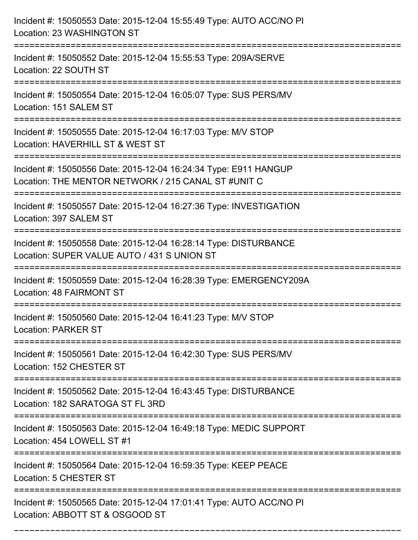| Incident #: 15050553 Date: 2015-12-04 15:55:49 Type: AUTO ACC/NO PI<br>Location: 23 WASHINGTON ST                              |
|--------------------------------------------------------------------------------------------------------------------------------|
| Incident #: 15050552 Date: 2015-12-04 15:55:53 Type: 209A/SERVE<br>Location: 22 SOUTH ST                                       |
| Incident #: 15050554 Date: 2015-12-04 16:05:07 Type: SUS PERS/MV<br>Location: 151 SALEM ST                                     |
| Incident #: 15050555 Date: 2015-12-04 16:17:03 Type: M/V STOP<br>Location: HAVERHILL ST & WEST ST                              |
| Incident #: 15050556 Date: 2015-12-04 16:24:34 Type: E911 HANGUP<br>Location: THE MENTOR NETWORK / 215 CANAL ST #UNIT C        |
| Incident #: 15050557 Date: 2015-12-04 16:27:36 Type: INVESTIGATION<br>Location: 397 SALEM ST                                   |
| Incident #: 15050558 Date: 2015-12-04 16:28:14 Type: DISTURBANCE<br>Location: SUPER VALUE AUTO / 431 S UNION ST                |
| Incident #: 15050559 Date: 2015-12-04 16:28:39 Type: EMERGENCY209A<br>Location: 48 FAIRMONT ST                                 |
| Incident #: 15050560 Date: 2015-12-04 16:41:23 Type: M/V STOP<br><b>Location: PARKER ST</b>                                    |
| Incident #: 15050561 Date: 2015-12-04 16:42:30 Type: SUS PERS/MV<br>Location: 152 CHESTER ST                                   |
| Incident #: 15050562 Date: 2015-12-04 16:43:45 Type: DISTURBANCE<br>Location: 182 SARATOGA ST FL 3RD<br>---------------------- |
| Incident #: 15050563 Date: 2015-12-04 16:49:18 Type: MEDIC SUPPORT<br>Location: 454 LOWELL ST #1                               |
| Incident #: 15050564 Date: 2015-12-04 16:59:35 Type: KEEP PEACE<br>Location: 5 CHESTER ST                                      |
| Incident #: 15050565 Date: 2015-12-04 17:01:41 Type: AUTO ACC/NO PI<br>Location: ABBOTT ST & OSGOOD ST                         |

===========================================================================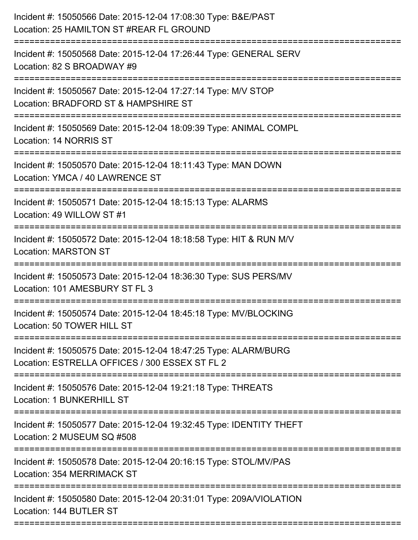| Incident #: 15050566 Date: 2015-12-04 17:08:30 Type: B&E/PAST<br>Location: 25 HAMILTON ST #REAR FL GROUND<br>======================         |
|---------------------------------------------------------------------------------------------------------------------------------------------|
| Incident #: 15050568 Date: 2015-12-04 17:26:44 Type: GENERAL SERV<br>Location: 82 S BROADWAY #9                                             |
| Incident #: 15050567 Date: 2015-12-04 17:27:14 Type: M/V STOP<br>Location: BRADFORD ST & HAMPSHIRE ST<br>__________________________________ |
| Incident #: 15050569 Date: 2015-12-04 18:09:39 Type: ANIMAL COMPL<br>Location: 14 NORRIS ST                                                 |
| Incident #: 15050570 Date: 2015-12-04 18:11:43 Type: MAN DOWN<br>Location: YMCA / 40 LAWRENCE ST<br>===============                         |
| Incident #: 15050571 Date: 2015-12-04 18:15:13 Type: ALARMS<br>Location: 49 WILLOW ST #1                                                    |
| Incident #: 15050572 Date: 2015-12-04 18:18:58 Type: HIT & RUN M/V<br><b>Location: MARSTON ST</b>                                           |
| Incident #: 15050573 Date: 2015-12-04 18:36:30 Type: SUS PERS/MV<br>Location: 101 AMESBURY ST FL 3                                          |
| Incident #: 15050574 Date: 2015-12-04 18:45:18 Type: MV/BLOCKING<br>Location: 50 TOWER HILL ST                                              |
| Incident #: 15050575 Date: 2015-12-04 18:47:25 Type: ALARM/BURG<br>Location: ESTRELLA OFFICES / 300 ESSEX ST FL 2                           |
| Incident #: 15050576 Date: 2015-12-04 19:21:18 Type: THREATS<br><b>Location: 1 BUNKERHILL ST</b>                                            |
| Incident #: 15050577 Date: 2015-12-04 19:32:45 Type: IDENTITY THEFT<br>Location: 2 MUSEUM SQ #508                                           |
| Incident #: 15050578 Date: 2015-12-04 20:16:15 Type: STOL/MV/PAS<br><b>Location: 354 MERRIMACK ST</b>                                       |
| Incident #: 15050580 Date: 2015-12-04 20:31:01 Type: 209A/VIOLATION<br>Location: 144 BUTLER ST                                              |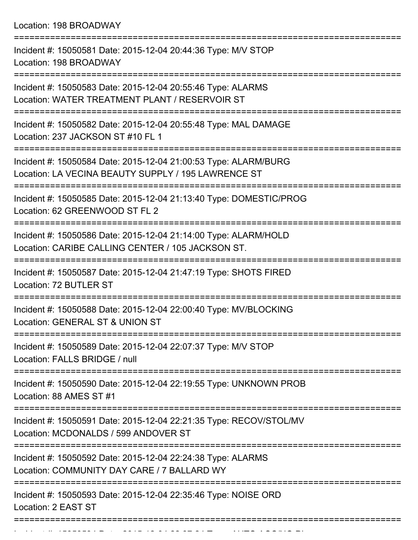Location: 198 BROADWAY

| Incident #: 15050581 Date: 2015-12-04 20:44:36 Type: M/V STOP<br>Location: 198 BROADWAY                                |
|------------------------------------------------------------------------------------------------------------------------|
| Incident #: 15050583 Date: 2015-12-04 20:55:46 Type: ALARMS<br>Location: WATER TREATMENT PLANT / RESERVOIR ST          |
| Incident #: 15050582 Date: 2015-12-04 20:55:48 Type: MAL DAMAGE<br>Location: 237 JACKSON ST #10 FL 1                   |
| Incident #: 15050584 Date: 2015-12-04 21:00:53 Type: ALARM/BURG<br>Location: LA VECINA BEAUTY SUPPLY / 195 LAWRENCE ST |
| Incident #: 15050585 Date: 2015-12-04 21:13:40 Type: DOMESTIC/PROG<br>Location: 62 GREENWOOD ST FL 2                   |
| Incident #: 15050586 Date: 2015-12-04 21:14:00 Type: ALARM/HOLD<br>Location: CARIBE CALLING CENTER / 105 JACKSON ST.   |
| Incident #: 15050587 Date: 2015-12-04 21:47:19 Type: SHOTS FIRED<br>Location: 72 BUTLER ST                             |
| Incident #: 15050588 Date: 2015-12-04 22:00:40 Type: MV/BLOCKING<br>Location: GENERAL ST & UNION ST                    |
| Incident #: 15050589 Date: 2015-12-04 22:07:37 Type: M/V STOP<br>Location: FALLS BRIDGE / null                         |
| Incident #: 15050590 Date: 2015-12-04 22:19:55 Type: UNKNOWN PROB<br>Location: 88 AMES ST #1                           |
| Incident #: 15050591 Date: 2015-12-04 22:21:35 Type: RECOV/STOL/MV<br>Location: MCDONALDS / 599 ANDOVER ST             |
| Incident #: 15050592 Date: 2015-12-04 22:24:38 Type: ALARMS<br>Location: COMMUNITY DAY CARE / 7 BALLARD WY             |
| Incident #: 15050593 Date: 2015-12-04 22:35:46 Type: NOISE ORD<br>Location: 2 EAST ST                                  |
|                                                                                                                        |

Incident #: 15050594 Date: 2015 12 04 22:37:24 Type: AUTO ACC/NO PI